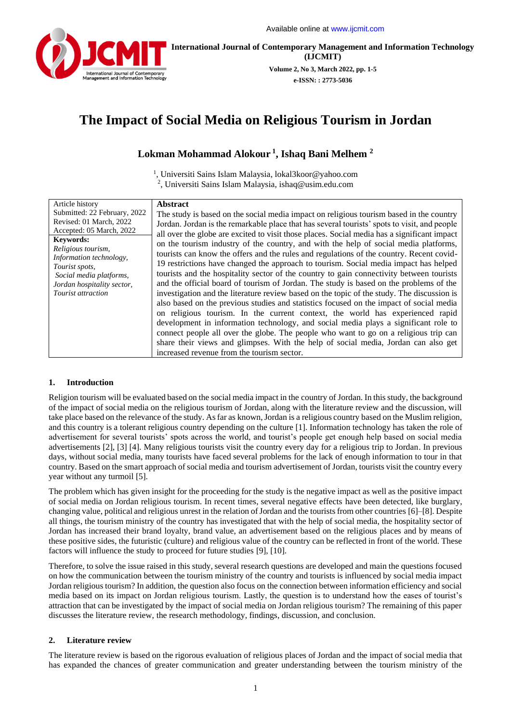

**International Journal of Contemporary Management and Information Technology (IJCMIT)**

> **Volume 2, No 3, March 2022, pp. 1-5 e-ISSN: : 2773-5036**

# **The Impact of Social Media on Religious Tourism in Jordan**

# **Lokman Mohammad Alokour <sup>1</sup> , Ishaq Bani Melhem <sup>2</sup>**

<sup>1</sup>, Universiti Sains Islam Malaysia, [lokal3koor@yahoo.com](mailto:lokal3koor@yahoo.com) 2 , Universiti Sains Islam Malaysia, [ishaq@usim.edu.com](mailto:lokal3koor@yahoo.com)

## **1. Introduction**

Religion tourism will be evaluated based on the social media impact in the country of Jordan. In this study, the background of the impact of social media on the religious tourism of Jordan, along with the literature review and the discussion, will take place based on the relevance of the study. As far as known, Jordan is a religious country based on the Muslim religion, and this country is a tolerant religious country depending on the culture [1]. Information technology has taken the role of advertisement for several tourists' spots across the world, and tourist's people get enough help based on social media advertisements [2], [3] [4]. Many religious tourists visit the country every day for a religious trip to Jordan. In previous days, without social media, many tourists have faced several problems for the lack of enough information to tour in that country. Based on the smart approach of social media and tourism advertisement of Jordan, tourists visit the country every year without any turmoil [5].

The problem which has given insight for the proceeding for the study is the negative impact as well as the positive impact of social media on Jordan religious tourism. In recent times, several negative effects have been detected, like burglary, changing value, political and religious unrest in the relation of Jordan and the tourists from other countries [6]–[8]. Despite all things, the tourism ministry of the country has investigated that with the help of social media, the hospitality sector of Jordan has increased their brand loyalty, brand value, an advertisement based on the religious places and by means of these positive sides, the futuristic (culture) and religious value of the country can be reflected in front of the world. These factors will influence the study to proceed for future studies [9], [10].

Therefore, to solve the issue raised in this study, several research questions are developed and main the questions focused on how the communication between the tourism ministry of the country and tourists is influenced by social media impact Jordan religious tourism? In addition, the question also focus on the connection between information efficiency and social media based on its impact on Jordan religious tourism. Lastly, the question is to understand how the eases of tourist's attraction that can be investigated by the impact of social media on Jordan religious tourism? The remaining of this paper discusses the literature review, the research methodology, findings, discussion, and conclusion.

## **2. Literature review**

The literature review is based on the rigorous evaluation of religious places of Jordan and the impact of social media that has expanded the chances of greater communication and greater understanding between the tourism ministry of the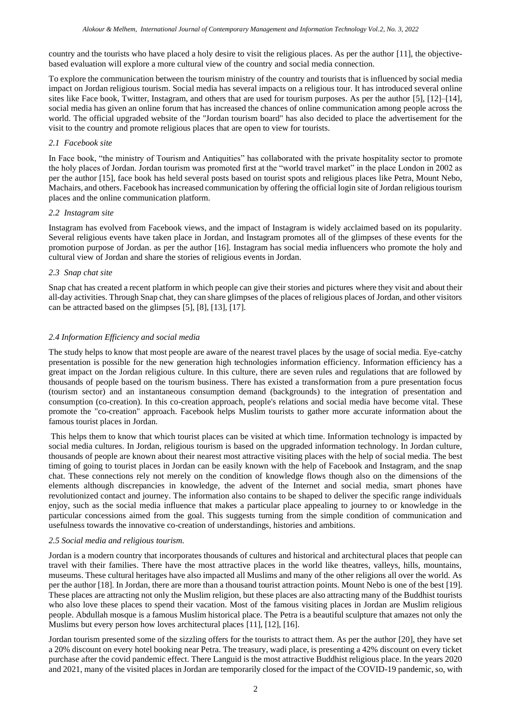country and the tourists who have placed a holy desire to visit the religious places. As per the author [11], the objectivebased evaluation will explore a more cultural view of the country and social media connection.

To explore the communication between the tourism ministry of the country and tourists that is influenced by social media impact on Jordan religious tourism. Social media has several impacts on a religious tour. It has introduced several online sites like Face book, Twitter, Instagram, and others that are used for tourism purposes. As per the author [5], [12]–[14], social media has given an online forum that has increased the chances of online communication among people across the world. The official upgraded website of the "Jordan tourism board" has also decided to place the advertisement for the visit to the country and promote religious places that are open to view for tourists.

#### *2.1 Facebook site*

In Face book, "the ministry of Tourism and Antiquities" has collaborated with the private hospitality sector to promote the holy places of Jordan. Jordan tourism was promoted first at the "world travel market" in the place London in 2002 as per the author [15], face book has held several posts based on tourist spots and religious places like Petra, Mount Nebo, Machairs, and others. Facebook has increased communication by offering the official login site of Jordan religious tourism places and the online communication platform.

#### *2.2 Instagram site*

Instagram has evolved from Facebook views, and the impact of Instagram is widely acclaimed based on its popularity. Several religious events have taken place in Jordan, and Instagram promotes all of the glimpses of these events for the promotion purpose of Jordan. as per the author [16]. Instagram has social media influencers who promote the holy and cultural view of Jordan and share the stories of religious events in Jordan.

#### *2.3 Snap chat site*

Snap chat has created a recent platform in which people can give their stories and pictures where they visit and about their all-day activities. Through Snap chat, they can share glimpses of the places of religious places of Jordan, and other visitors can be attracted based on the glimpses [5], [8], [13], [17].

#### *2.4 Information Efficiency and social media*

The study helps to know that most people are aware of the nearest travel places by the usage of social media. Eye-catchy presentation is possible for the new generation high technologies information efficiency. Information efficiency has a great impact on the Jordan religious culture. In this culture, there are seven rules and regulations that are followed by thousands of people based on the tourism business. There has existed a transformation from a pure presentation focus (tourism sector) and an instantaneous consumption demand (backgrounds) to the integration of presentation and consumption (co-creation). In this co-creation approach, people's relations and social media have become vital. These promote the "co-creation" approach. Facebook helps Muslim tourists to gather more accurate information about the famous tourist places in Jordan.

This helps them to know that which tourist places can be visited at which time. Information technology is impacted by social media cultures. In Jordan, religious tourism is based on the upgraded information technology. In Jordan culture, thousands of people are known about their nearest most attractive visiting places with the help of social media. The best timing of going to tourist places in Jordan can be easily known with the help of Facebook and Instagram, and the snap chat. These connections rely not merely on the condition of knowledge flows though also on the dimensions of the elements although discrepancies in knowledge, the advent of the Internet and social media, smart phones have revolutionized contact and journey. The information also contains to be shaped to deliver the specific range individuals enjoy, such as the social media influence that makes a particular place appealing to journey to or knowledge in the particular concessions aimed from the goal. This suggests turning from the simple condition of communication and usefulness towards the innovative co-creation of understandings, histories and ambitions.

#### *2.5 Social media and religious tourism.*

Jordan is a modern country that incorporates thousands of cultures and historical and architectural places that people can travel with their families. There have the most attractive places in the world like theatres, valleys, hills, mountains, museums. These cultural heritages have also impacted all Muslims and many of the other religions all over the world. As per the author [18]. In Jordan, there are more than a thousand tourist attraction points. Mount Nebo is one of the best [19]. These places are attracting not only the Muslim religion, but these places are also attracting many of the Buddhist tourists who also love these places to spend their vacation. Most of the famous visiting places in Jordan are Muslim religious people. Abdullah mosque is a famous Muslim historical place. The Petra is a beautiful sculpture that amazes not only the Muslims but every person how loves architectural places [11], [12], [16].

Jordan tourism presented some of the sizzling offers for the tourists to attract them. As per the author [20], they have set a 20% discount on every hotel booking near Petra. The treasury, wadi place, is presenting a 42% discount on every ticket purchase after the covid pandemic effect. There Languid is the most attractive Buddhist religious place. In the years 2020 and 2021, many of the visited places in Jordan are temporarily closed for the impact of the COVID-19 pandemic, so, with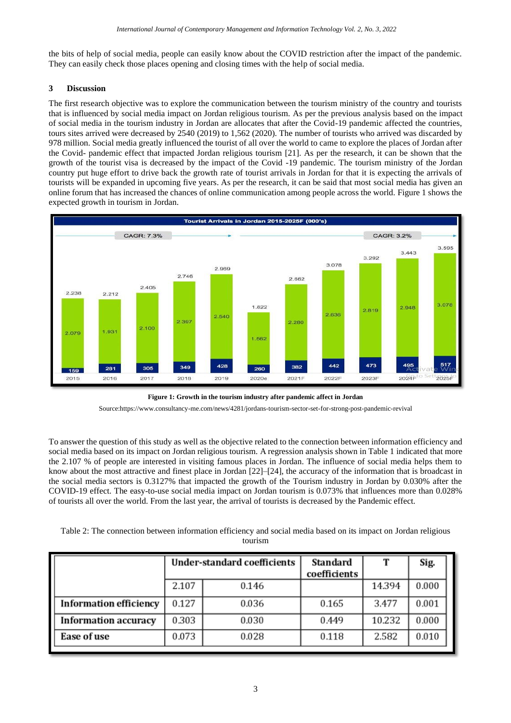the bits of help of social media, people can easily know about the COVID restriction after the impact of the pandemic. They can easily check those places opening and closing times with the help of social media.

# **3 Discussion**

The first research objective was to explore the communication between the tourism ministry of the country and tourists that is influenced by social media impact on Jordan religious tourism. As per the previous analysis based on the impact of social media in the tourism industry in Jordan are allocates that after the Covid-19 pandemic affected the countries, tours sites arrived were decreased by 2540 (2019) to 1,562 (2020). The number of tourists who arrived was discarded by 978 million. Social media greatly influenced the tourist of all over the world to came to explore the places of Jordan after the Covid- pandemic effect that impacted Jordan religious tourism [21]. As per the research, it can be shown that the growth of the tourist visa is decreased by the impact of the Covid -19 pandemic. The tourism ministry of the Jordan country put huge effort to drive back the growth rate of tourist arrivals in Jordan for that it is expecting the arrivals of tourists will be expanded in upcoming five years. As per the research, it can be said that most social media has given an online forum that has increased the chances of online communication among people across the world. Figure 1 shows the expected growth in tourism in Jordan.



**Figure 1: Growth in the tourism industry after pandemic affect in Jordan**

Source:https://www.consultancy-me.com/news/4281/jordans-tourism-sector-set-for-strong-post-pandemic-revival

To answer the question of this study as well as the objective related to the connection between information efficiency and social media based on its impact on Jordan religious tourism. A regression analysis shown in Table 1 indicated that more the 2.107 % of people are interested in visiting famous places in Jordan. The influence of social media helps them to know about the most attractive and finest place in Jordan [22]–[24], the accuracy of the information that is broadcast in the social media sectors is 0.3127% that impacted the growth of the Tourism industry in Jordan by 0.030% after the COVID-19 effect. The easy-to-use social media impact on Jordan tourism is 0.073% that influences more than 0.028% of tourists all over the world. From the last year, the arrival of tourists is decreased by the Pandemic effect.

Table 2: The connection between information efficiency and social media based on its impact on Jordan religious tourism

|                               | <b>Under-standard coefficients</b> |       | <b>Standard</b><br>coefficients |        | Sig.  |
|-------------------------------|------------------------------------|-------|---------------------------------|--------|-------|
|                               | 2.107                              | 0.146 |                                 | 14.394 | 0.000 |
| <b>Information efficiency</b> | 0.127                              | 0.036 | 0.165                           | 3.477  | 0.001 |
| <b>Information accuracy</b>   | 0.303                              | 0.030 | 0.449                           | 10.232 | 0.000 |
| Ease of use                   | 0.073                              | 0.028 | 0.118                           | 2.582  | 0.010 |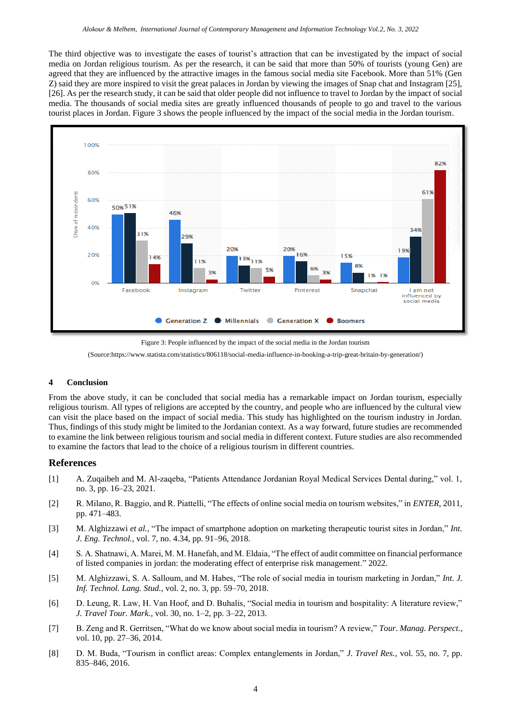The third objective was to investigate the eases of tourist's attraction that can be investigated by the impact of social media on Jordan religious tourism. As per the research, it can be said that more than 50% of tourists (young Gen) are agreed that they are influenced by the attractive images in the famous social media site Facebook. More than 51% (Gen Z) said they are more inspired to visit the great palaces in Jordan by viewing the images of Snap chat and Instagram [25], [26]. As per the research study, it can be said that older people did not influence to travel to Jordan by the impact of social media. The thousands of social media sites are greatly influenced thousands of people to go and travel to the various tourist places in Jordan. Figure 3 shows the people influenced by the impact of the social media in the Jordan tourism.



Figure 3: People influenced by the impact of the social media in the Jordan tourism (Source:https://www.statista.com/statistics/806118/social-media-influence-in-booking-a-trip-great-britain-by-generation/)

#### **4 Conclusion**

From the above study, it can be concluded that social media has a remarkable impact on Jordan tourism, especially religious tourism. All types of religions are accepted by the country, and people who are influenced by the cultural view can visit the place based on the impact of social media. This study has highlighted on the tourism industry in Jordan. Thus, findings of this study might be limited to the Jordanian context. As a way forward, future studies are recommended to examine the link between religious tourism and social media in different context. Future studies are also recommended to examine the factors that lead to the choice of a religious tourism in different countries.

#### **References**

- [1] A. Zuqaibeh and M. Al-zaqeba, "Patients Attendance Jordanian Royal Medical Services Dental during," vol. 1, no. 3, pp. 16–23, 2021.
- [2] R. Milano, R. Baggio, and R. Piattelli, "The effects of online social media on tourism websites," in *ENTER*, 2011, pp. 471–483.
- [3] M. Alghizzawi *et al.*, "The impact of smartphone adoption on marketing therapeutic tourist sites in Jordan," *Int. J. Eng. Technol.*, vol. 7, no. 4.34, pp. 91–96, 2018.
- [4] S. A. Shatnawi, A. Marei, M. M. Hanefah, and M. Eldaia, "The effect of audit committee on financial performance of listed companies in jordan: the moderating effect of enterprise risk management." 2022.
- [5] M. Alghizzawi, S. A. Salloum, and M. Habes, "The role of social media in tourism marketing in Jordan," *Int. J. Inf. Technol. Lang. Stud.*, vol. 2, no. 3, pp. 59–70, 2018.
- [6] D. Leung, R. Law, H. Van Hoof, and D. Buhalis, "Social media in tourism and hospitality: A literature review," *J. Travel Tour. Mark.*, vol. 30, no. 1–2, pp. 3–22, 2013.
- [7] B. Zeng and R. Gerritsen, "What do we know about social media in tourism? A review," *Tour. Manag. Perspect.*, vol. 10, pp. 27–36, 2014.
- [8] D. M. Buda, "Tourism in conflict areas: Complex entanglements in Jordan," *J. Travel Res.*, vol. 55, no. 7, pp. 835–846, 2016.